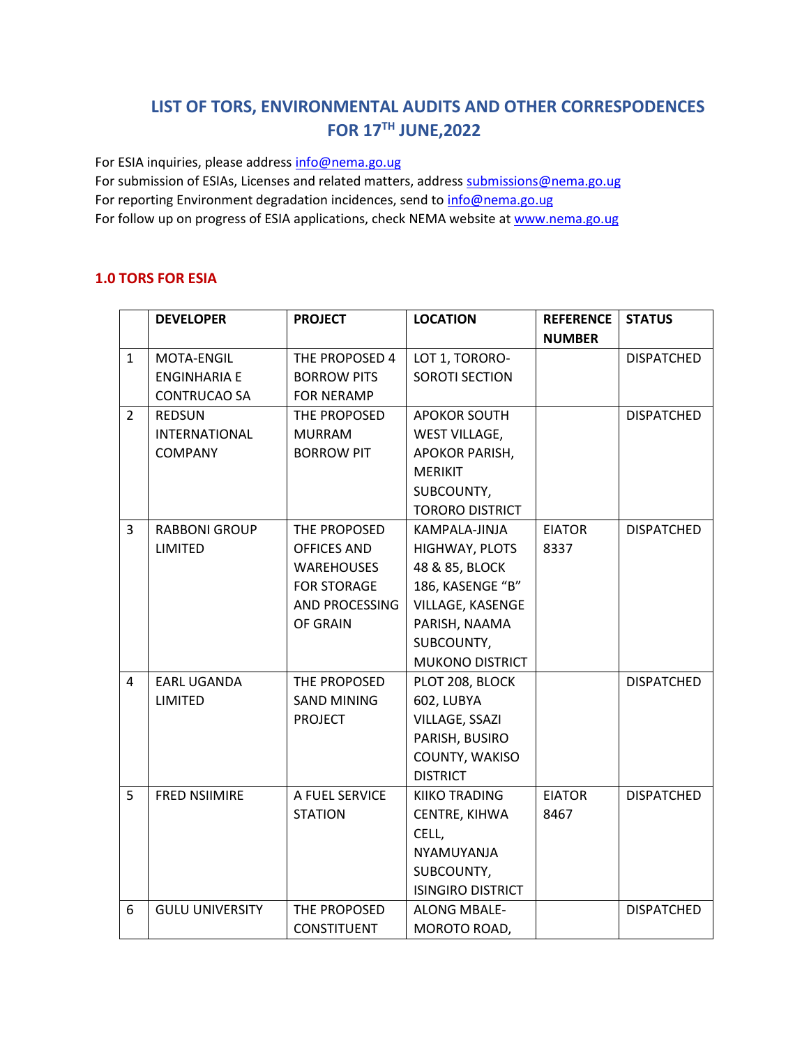# **LIST OF TORS, ENVIRONMENTAL AUDITS AND OTHER CORRESPODENCES FOR 17TH JUNE,2022**

For ESIA inquiries, please addres[s info@nema.go.ug](mailto:info@nema.go.ug)

For submission of ESIAs, Licenses and related matters, address [submissions@nema.go.ug](mailto:submissions@nema.go.ug) For reporting Environment degradation incidences, send t[o info@nema.go.ug](mailto:info@nema.go.ug) For follow up on progress of ESIA applications, check NEMA website at [www.nema.go.ug](http://www.nema.go.ug/)

#### **1.0 TORS FOR ESIA**

|                | <b>DEVELOPER</b>       | <b>PROJECT</b>     | <b>LOCATION</b>          | <b>REFERENCE</b> | <b>STATUS</b>     |
|----------------|------------------------|--------------------|--------------------------|------------------|-------------------|
|                |                        |                    |                          | <b>NUMBER</b>    |                   |
| $\mathbf{1}$   | MOTA-ENGIL             | THE PROPOSED 4     | LOT 1, TORORO-           |                  | <b>DISPATCHED</b> |
|                | <b>ENGINHARIA E</b>    | <b>BORROW PITS</b> | SOROTI SECTION           |                  |                   |
|                | <b>CONTRUCAO SA</b>    | <b>FOR NERAMP</b>  |                          |                  |                   |
| $\overline{2}$ | <b>REDSUN</b>          | THE PROPOSED       | <b>APOKOR SOUTH</b>      |                  | <b>DISPATCHED</b> |
|                | INTERNATIONAL          | <b>MURRAM</b>      | <b>WEST VILLAGE,</b>     |                  |                   |
|                | <b>COMPANY</b>         | <b>BORROW PIT</b>  | <b>APOKOR PARISH,</b>    |                  |                   |
|                |                        |                    | <b>MERIKIT</b>           |                  |                   |
|                |                        |                    | SUBCOUNTY,               |                  |                   |
|                |                        |                    | <b>TORORO DISTRICT</b>   |                  |                   |
| 3              | <b>RABBONI GROUP</b>   | THE PROPOSED       | KAMPALA-JINJA            | <b>EIATOR</b>    | <b>DISPATCHED</b> |
|                | <b>LIMITED</b>         | <b>OFFICES AND</b> | HIGHWAY, PLOTS           | 8337             |                   |
|                |                        | <b>WAREHOUSES</b>  | 48 & 85, BLOCK           |                  |                   |
|                |                        | <b>FOR STORAGE</b> | 186, KASENGE "B"         |                  |                   |
|                |                        | AND PROCESSING     | VILLAGE, KASENGE         |                  |                   |
|                |                        | OF GRAIN           | PARISH, NAAMA            |                  |                   |
|                |                        |                    | SUBCOUNTY,               |                  |                   |
|                |                        |                    | <b>MUKONO DISTRICT</b>   |                  |                   |
| 4              | <b>EARL UGANDA</b>     | THE PROPOSED       | PLOT 208, BLOCK          |                  | <b>DISPATCHED</b> |
|                | LIMITED                | <b>SAND MINING</b> | 602, LUBYA               |                  |                   |
|                |                        | <b>PROJECT</b>     | VILLAGE, SSAZI           |                  |                   |
|                |                        |                    | PARISH, BUSIRO           |                  |                   |
|                |                        |                    | COUNTY, WAKISO           |                  |                   |
|                |                        |                    | <b>DISTRICT</b>          |                  |                   |
| 5              | <b>FRED NSIIMIRE</b>   | A FUEL SERVICE     | <b>KIIKO TRADING</b>     | <b>EIATOR</b>    | <b>DISPATCHED</b> |
|                |                        | <b>STATION</b>     | CENTRE, KIHWA            | 8467             |                   |
|                |                        |                    | CELL,                    |                  |                   |
|                |                        |                    | NYAMUYANJA               |                  |                   |
|                |                        |                    | SUBCOUNTY,               |                  |                   |
|                |                        |                    | <b>ISINGIRO DISTRICT</b> |                  |                   |
| 6              | <b>GULU UNIVERSITY</b> | THE PROPOSED       | <b>ALONG MBALE-</b>      |                  | <b>DISPATCHED</b> |
|                |                        | <b>CONSTITUENT</b> | MOROTO ROAD,             |                  |                   |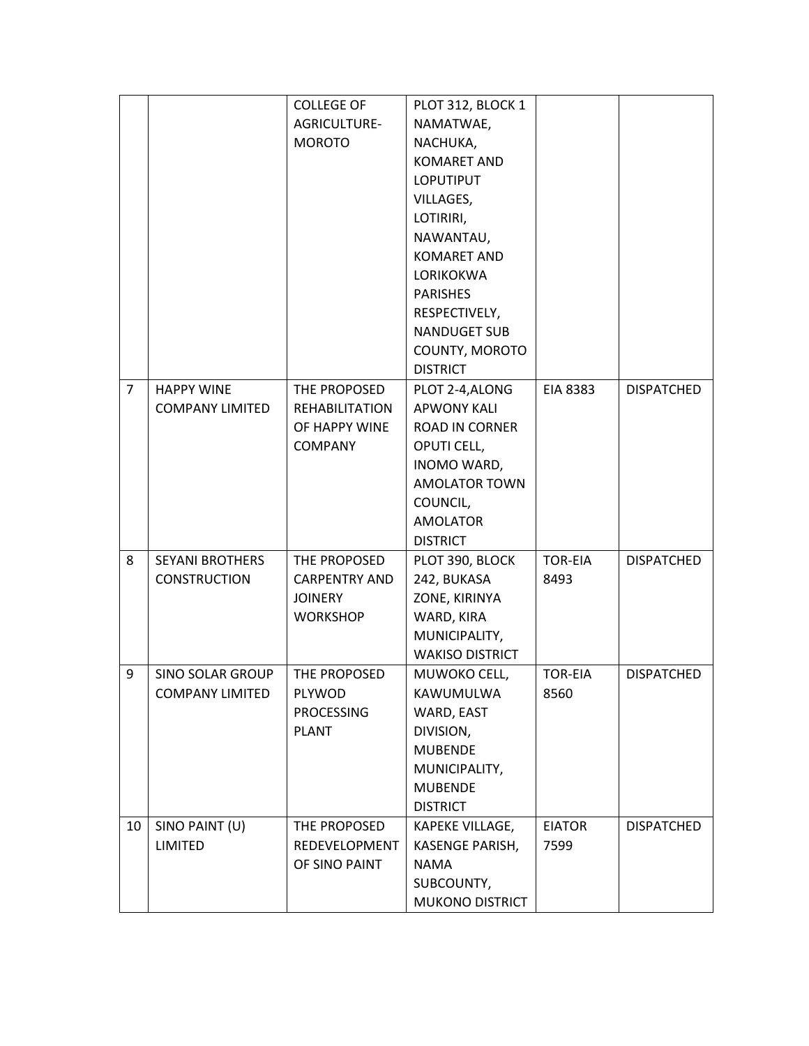|                |                         | <b>COLLEGE OF</b>     | PLOT 312, BLOCK 1      |                 |                   |
|----------------|-------------------------|-----------------------|------------------------|-----------------|-------------------|
|                |                         | AGRICULTURE-          | NAMATWAE,              |                 |                   |
|                |                         | <b>MOROTO</b>         | NACHUKA,               |                 |                   |
|                |                         |                       | <b>KOMARET AND</b>     |                 |                   |
|                |                         |                       | <b>LOPUTIPUT</b>       |                 |                   |
|                |                         |                       | VILLAGES,              |                 |                   |
|                |                         |                       | LOTIRIRI,              |                 |                   |
|                |                         |                       | NAWANTAU,              |                 |                   |
|                |                         |                       | <b>KOMARET AND</b>     |                 |                   |
|                |                         |                       | LORIKOKWA              |                 |                   |
|                |                         |                       | <b>PARISHES</b>        |                 |                   |
|                |                         |                       | RESPECTIVELY,          |                 |                   |
|                |                         |                       | <b>NANDUGET SUB</b>    |                 |                   |
|                |                         |                       | COUNTY, MOROTO         |                 |                   |
|                |                         |                       | <b>DISTRICT</b>        |                 |                   |
| $\overline{7}$ | <b>HAPPY WINE</b>       | THE PROPOSED          | PLOT 2-4, ALONG        | <b>EIA 8383</b> | <b>DISPATCHED</b> |
|                | <b>COMPANY LIMITED</b>  | <b>REHABILITATION</b> | <b>APWONY KALI</b>     |                 |                   |
|                |                         | OF HAPPY WINE         | <b>ROAD IN CORNER</b>  |                 |                   |
|                |                         | <b>COMPANY</b>        | OPUTI CELL,            |                 |                   |
|                |                         |                       | INOMO WARD,            |                 |                   |
|                |                         |                       | <b>AMOLATOR TOWN</b>   |                 |                   |
|                |                         |                       | COUNCIL,               |                 |                   |
|                |                         |                       | <b>AMOLATOR</b>        |                 |                   |
|                |                         |                       | <b>DISTRICT</b>        |                 |                   |
| 8              | <b>SEYANI BROTHERS</b>  | THE PROPOSED          | PLOT 390, BLOCK        | <b>TOR-EIA</b>  | <b>DISPATCHED</b> |
|                | <b>CONSTRUCTION</b>     | <b>CARPENTRY AND</b>  | 242, BUKASA            | 8493            |                   |
|                |                         | <b>JOINERY</b>        | ZONE, KIRINYA          |                 |                   |
|                |                         | <b>WORKSHOP</b>       | WARD, KIRA             |                 |                   |
|                |                         |                       | MUNICIPALITY,          |                 |                   |
|                |                         |                       | <b>WAKISO DISTRICT</b> |                 |                   |
| 9              | <b>SINO SOLAR GROUP</b> | THE PROPOSED          | MUWOKO CELL,           | <b>TOR-EIA</b>  | <b>DISPATCHED</b> |
|                | <b>COMPANY LIMITED</b>  | PLYWOD                | KAWUMULWA              | 8560            |                   |
|                |                         | <b>PROCESSING</b>     | WARD, EAST             |                 |                   |
|                |                         | <b>PLANT</b>          | DIVISION,              |                 |                   |
|                |                         |                       | <b>MUBENDE</b>         |                 |                   |
|                |                         |                       | MUNICIPALITY,          |                 |                   |
|                |                         |                       | <b>MUBENDE</b>         |                 |                   |
|                |                         |                       | <b>DISTRICT</b>        |                 |                   |
| 10             | SINO PAINT (U)          | THE PROPOSED          | KAPEKE VILLAGE,        | <b>EIATOR</b>   | <b>DISPATCHED</b> |
|                | <b>LIMITED</b>          | REDEVELOPMENT         | KASENGE PARISH,        | 7599            |                   |
|                |                         | OF SINO PAINT         | <b>NAMA</b>            |                 |                   |
|                |                         |                       | SUBCOUNTY,             |                 |                   |
|                |                         |                       | MUKONO DISTRICT        |                 |                   |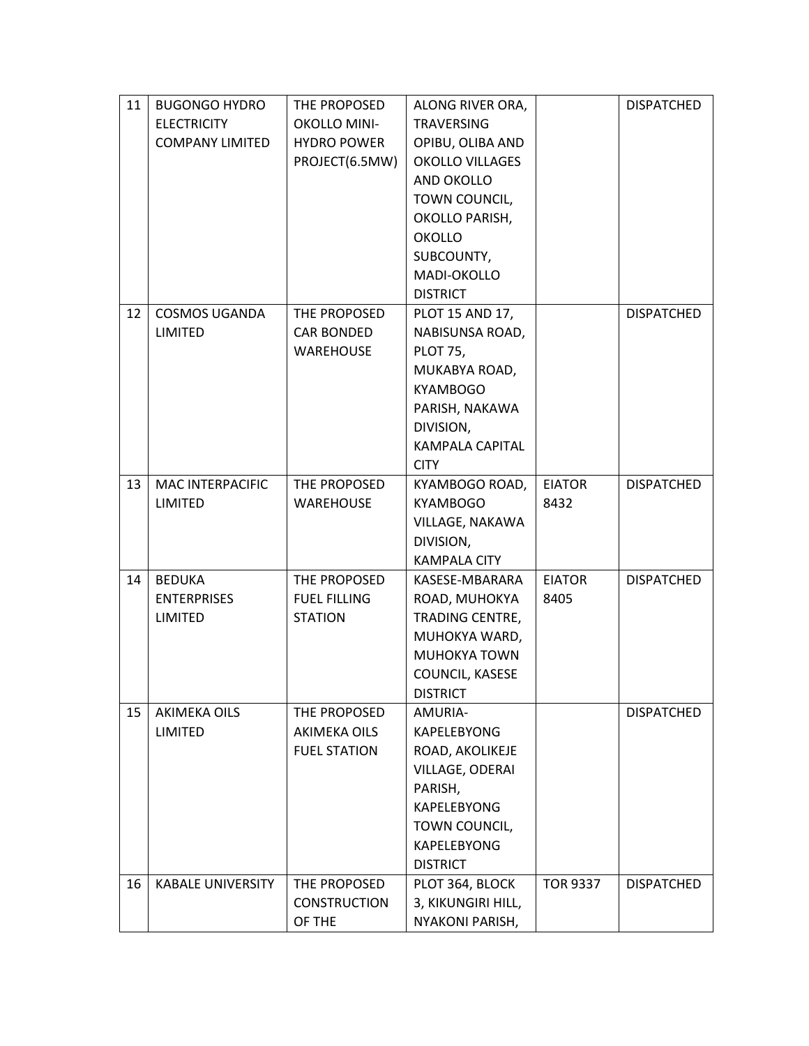| 11 | <b>BUGONGO HYDRO</b>     | THE PROPOSED        | ALONG RIVER ORA,                 |                 | <b>DISPATCHED</b> |
|----|--------------------------|---------------------|----------------------------------|-----------------|-------------------|
|    | <b>ELECTRICITY</b>       | <b>OKOLLO MINI-</b> | <b>TRAVERSING</b>                |                 |                   |
|    | <b>COMPANY LIMITED</b>   | <b>HYDRO POWER</b>  | OPIBU, OLIBA AND                 |                 |                   |
|    |                          | PROJECT(6.5MW)      | <b>OKOLLO VILLAGES</b>           |                 |                   |
|    |                          |                     | AND OKOLLO                       |                 |                   |
|    |                          |                     | TOWN COUNCIL,                    |                 |                   |
|    |                          |                     | OKOLLO PARISH,                   |                 |                   |
|    |                          |                     | <b>OKOLLO</b>                    |                 |                   |
|    |                          |                     | SUBCOUNTY,                       |                 |                   |
|    |                          |                     | MADI-OKOLLO                      |                 |                   |
|    |                          |                     | <b>DISTRICT</b>                  |                 |                   |
| 12 | <b>COSMOS UGANDA</b>     | THE PROPOSED        | PLOT 15 AND 17,                  |                 | <b>DISPATCHED</b> |
|    | <b>LIMITED</b>           | <b>CAR BONDED</b>   | NABISUNSA ROAD,                  |                 |                   |
|    |                          | <b>WAREHOUSE</b>    | <b>PLOT 75,</b>                  |                 |                   |
|    |                          |                     | MUKABYA ROAD,                    |                 |                   |
|    |                          |                     | <b>KYAMBOGO</b>                  |                 |                   |
|    |                          |                     | PARISH, NAKAWA                   |                 |                   |
|    |                          |                     | DIVISION,                        |                 |                   |
|    |                          |                     | <b>KAMPALA CAPITAL</b>           |                 |                   |
|    |                          |                     | <b>CITY</b>                      |                 |                   |
| 13 | MAC INTERPACIFIC         | THE PROPOSED        | KYAMBOGO ROAD,                   | <b>EIATOR</b>   | <b>DISPATCHED</b> |
|    | LIMITED                  | <b>WAREHOUSE</b>    | <b>KYAMBOGO</b>                  | 8432            |                   |
|    |                          |                     | VILLAGE, NAKAWA                  |                 |                   |
|    |                          |                     | DIVISION,                        |                 |                   |
|    |                          |                     | <b>KAMPALA CITY</b>              |                 |                   |
| 14 | <b>BEDUKA</b>            | THE PROPOSED        | KASESE-MBARARA                   | <b>EIATOR</b>   | <b>DISPATCHED</b> |
|    | <b>ENTERPRISES</b>       | <b>FUEL FILLING</b> | ROAD, MUHOKYA                    | 8405            |                   |
|    | <b>LIMITED</b>           | <b>STATION</b>      | TRADING CENTRE,<br>MUHOKYA WARD, |                 |                   |
|    |                          |                     | <b>MUHOKYA TOWN</b>              |                 |                   |
|    |                          |                     | COUNCIL, KASESE                  |                 |                   |
|    |                          |                     | <b>DISTRICT</b>                  |                 |                   |
| 15 | <b>AKIMEKA OILS</b>      | THE PROPOSED        | AMURIA-                          |                 | <b>DISPATCHED</b> |
|    | LIMITED                  | <b>AKIMEKA OILS</b> | KAPELEBYONG                      |                 |                   |
|    |                          | <b>FUEL STATION</b> | ROAD, AKOLIKEJE                  |                 |                   |
|    |                          |                     | VILLAGE, ODERAI                  |                 |                   |
|    |                          |                     | PARISH,                          |                 |                   |
|    |                          |                     | KAPELEBYONG                      |                 |                   |
|    |                          |                     | TOWN COUNCIL,                    |                 |                   |
|    |                          |                     | <b>KAPELEBYONG</b>               |                 |                   |
|    |                          |                     | <b>DISTRICT</b>                  |                 |                   |
| 16 | <b>KABALE UNIVERSITY</b> | THE PROPOSED        | PLOT 364, BLOCK                  | <b>TOR 9337</b> | <b>DISPATCHED</b> |
|    |                          | <b>CONSTRUCTION</b> | 3, KIKUNGIRI HILL,               |                 |                   |
|    |                          | OF THE              | NYAKONI PARISH,                  |                 |                   |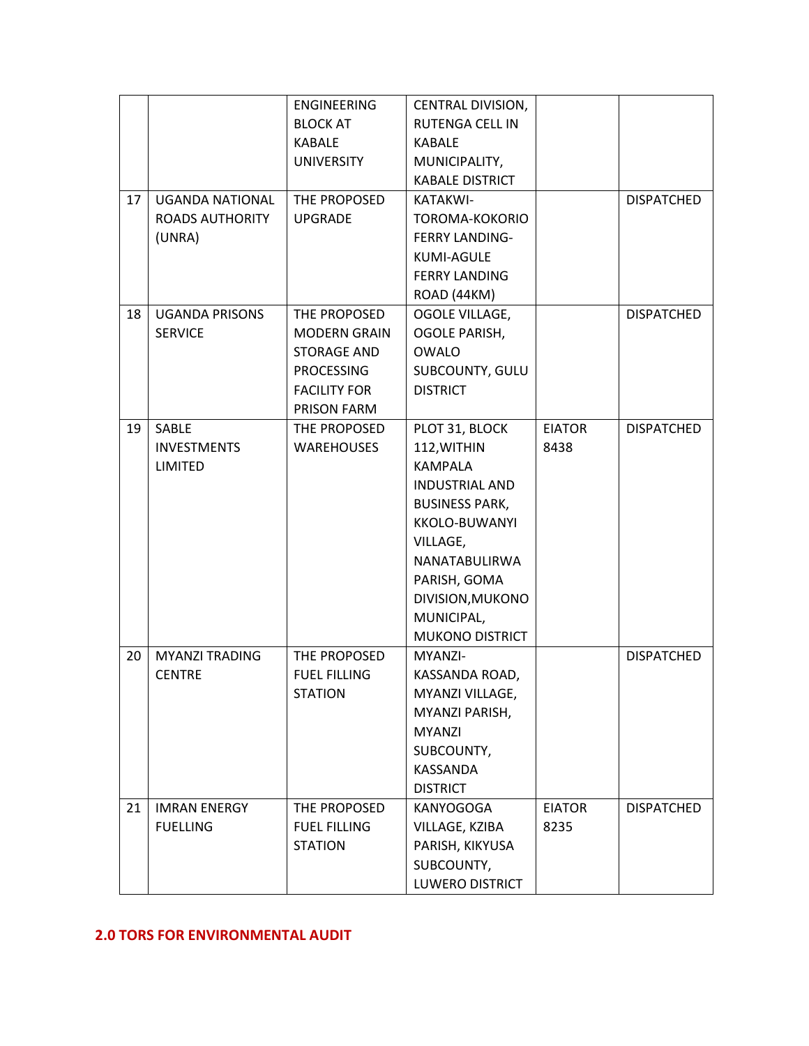|    |                        | <b>ENGINEERING</b>  | CENTRAL DIVISION,      |               |                   |
|----|------------------------|---------------------|------------------------|---------------|-------------------|
|    |                        | <b>BLOCK AT</b>     | <b>RUTENGA CELL IN</b> |               |                   |
|    |                        | <b>KABALE</b>       | <b>KABALE</b>          |               |                   |
|    |                        | <b>UNIVERSITY</b>   | MUNICIPALITY,          |               |                   |
|    |                        |                     | <b>KABALE DISTRICT</b> |               |                   |
| 17 | <b>UGANDA NATIONAL</b> | THE PROPOSED        | KATAKWI-               |               | <b>DISPATCHED</b> |
|    | <b>ROADS AUTHORITY</b> | <b>UPGRADE</b>      | TOROMA-KOKORIO         |               |                   |
|    | (UNRA)                 |                     | <b>FERRY LANDING-</b>  |               |                   |
|    |                        |                     | <b>KUMI-AGULE</b>      |               |                   |
|    |                        |                     | <b>FERRY LANDING</b>   |               |                   |
|    |                        |                     | ROAD (44KM)            |               |                   |
| 18 | <b>UGANDA PRISONS</b>  | THE PROPOSED        | OGOLE VILLAGE,         |               | <b>DISPATCHED</b> |
|    | <b>SERVICE</b>         | <b>MODERN GRAIN</b> | <b>OGOLE PARISH,</b>   |               |                   |
|    |                        | <b>STORAGE AND</b>  | <b>OWALO</b>           |               |                   |
|    |                        | <b>PROCESSING</b>   | SUBCOUNTY, GULU        |               |                   |
|    |                        | <b>FACILITY FOR</b> | <b>DISTRICT</b>        |               |                   |
|    |                        | PRISON FARM         |                        |               |                   |
| 19 | SABLE                  | THE PROPOSED        | PLOT 31, BLOCK         | <b>EIATOR</b> | <b>DISPATCHED</b> |
|    | <b>INVESTMENTS</b>     | <b>WAREHOUSES</b>   | 112, WITHIN            | 8438          |                   |
|    | LIMITED                |                     | <b>KAMPALA</b>         |               |                   |
|    |                        |                     | INDUSTRIAL AND         |               |                   |
|    |                        |                     | <b>BUSINESS PARK,</b>  |               |                   |
|    |                        |                     | KKOLO-BUWANYI          |               |                   |
|    |                        |                     | VILLAGE,               |               |                   |
|    |                        |                     | NANATABULIRWA          |               |                   |
|    |                        |                     | PARISH, GOMA           |               |                   |
|    |                        |                     | DIVISION, MUKONO       |               |                   |
|    |                        |                     | MUNICIPAL,             |               |                   |
|    |                        |                     | <b>MUKONO DISTRICT</b> |               |                   |
| 20 | <b>MYANZI TRADING</b>  | THE PROPOSED        | MYANZI-                |               | <b>DISPATCHED</b> |
|    | <b>CENTRE</b>          | <b>FUEL FILLING</b> | KASSANDA ROAD,         |               |                   |
|    |                        | <b>STATION</b>      | MYANZI VILLAGE,        |               |                   |
|    |                        |                     | MYANZI PARISH,         |               |                   |
|    |                        |                     | <b>MYANZI</b>          |               |                   |
|    |                        |                     | SUBCOUNTY,             |               |                   |
|    |                        |                     | KASSANDA               |               |                   |
|    |                        |                     | <b>DISTRICT</b>        |               |                   |
| 21 | <b>IMRAN ENERGY</b>    | THE PROPOSED        | <b>KANYOGOGA</b>       | <b>EIATOR</b> | <b>DISPATCHED</b> |
|    | <b>FUELLING</b>        | <b>FUEL FILLING</b> | VILLAGE, KZIBA         | 8235          |                   |
|    |                        | <b>STATION</b>      | PARISH, KIKYUSA        |               |                   |
|    |                        |                     | SUBCOUNTY,             |               |                   |
|    |                        |                     | LUWERO DISTRICT        |               |                   |

#### **2.0 TORS FOR ENVIRONMENTAL AUDIT**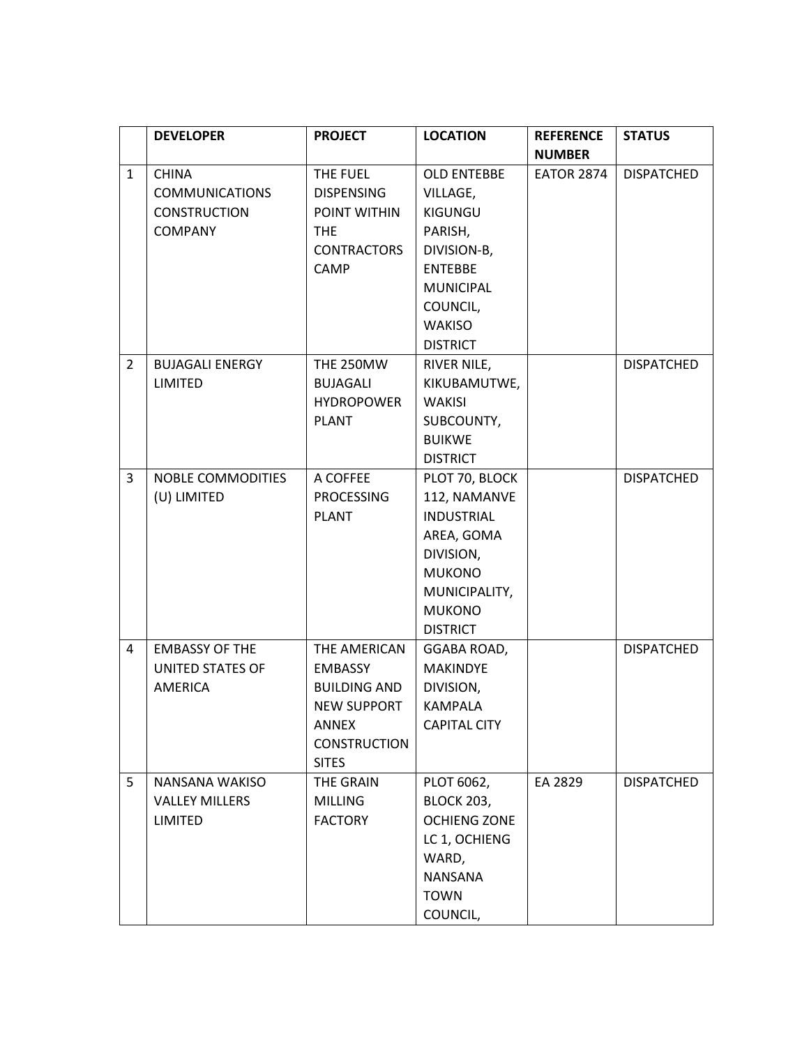|                | <b>DEVELOPER</b>                                                               | <b>PROJECT</b>                                                                                                              | <b>LOCATION</b>                                                                                                                                           | <b>REFERENCE</b><br><b>NUMBER</b> | <b>STATUS</b>     |
|----------------|--------------------------------------------------------------------------------|-----------------------------------------------------------------------------------------------------------------------------|-----------------------------------------------------------------------------------------------------------------------------------------------------------|-----------------------------------|-------------------|
| $\mathbf{1}$   | <b>CHINA</b><br><b>COMMUNICATIONS</b><br><b>CONSTRUCTION</b><br><b>COMPANY</b> | THE FUEL<br><b>DISPENSING</b><br>POINT WITHIN<br><b>THE</b><br><b>CONTRACTORS</b><br>CAMP                                   | <b>OLD ENTEBBE</b><br>VILLAGE,<br>KIGUNGU<br>PARISH,<br>DIVISION-B,<br><b>ENTEBBE</b><br><b>MUNICIPAL</b><br>COUNCIL,<br><b>WAKISO</b><br><b>DISTRICT</b> | <b>EATOR 2874</b>                 | <b>DISPATCHED</b> |
| $\overline{2}$ | <b>BUJAGALI ENERGY</b><br><b>LIMITED</b>                                       | <b>THE 250MW</b><br><b>BUJAGALI</b><br><b>HYDROPOWER</b><br><b>PLANT</b>                                                    | RIVER NILE,<br>KIKUBAMUTWE,<br><b>WAKISI</b><br>SUBCOUNTY,<br><b>BUIKWE</b><br><b>DISTRICT</b>                                                            |                                   | <b>DISPATCHED</b> |
| 3              | NOBLE COMMODITIES<br>(U) LIMITED                                               | A COFFEE<br><b>PROCESSING</b><br><b>PLANT</b>                                                                               | PLOT 70, BLOCK<br>112, NAMANVE<br><b>INDUSTRIAL</b><br>AREA, GOMA<br>DIVISION,<br><b>MUKONO</b><br>MUNICIPALITY,<br><b>MUKONO</b><br><b>DISTRICT</b>      |                                   | <b>DISPATCHED</b> |
| 4              | <b>EMBASSY OF THE</b><br><b>UNITED STATES OF</b><br><b>AMERICA</b>             | THE AMERICAN<br><b>EMBASSY</b><br><b>BUILDING AND</b><br><b>NEW SUPPORT</b><br>ANNEX<br><b>CONSTRUCTION</b><br><b>SITES</b> | GGABA ROAD,<br><b>MAKINDYE</b><br>DIVISION,<br>KAMPALA<br><b>CAPITAL CITY</b>                                                                             |                                   | <b>DISPATCHED</b> |
| 5              | NANSANA WAKISO<br><b>VALLEY MILLERS</b><br><b>LIMITED</b>                      | THE GRAIN<br><b>MILLING</b><br><b>FACTORY</b>                                                                               | PLOT 6062,<br><b>BLOCK 203,</b><br><b>OCHIENG ZONE</b><br>LC 1, OCHIENG<br>WARD,<br><b>NANSANA</b><br><b>TOWN</b><br>COUNCIL,                             | EA 2829                           | <b>DISPATCHED</b> |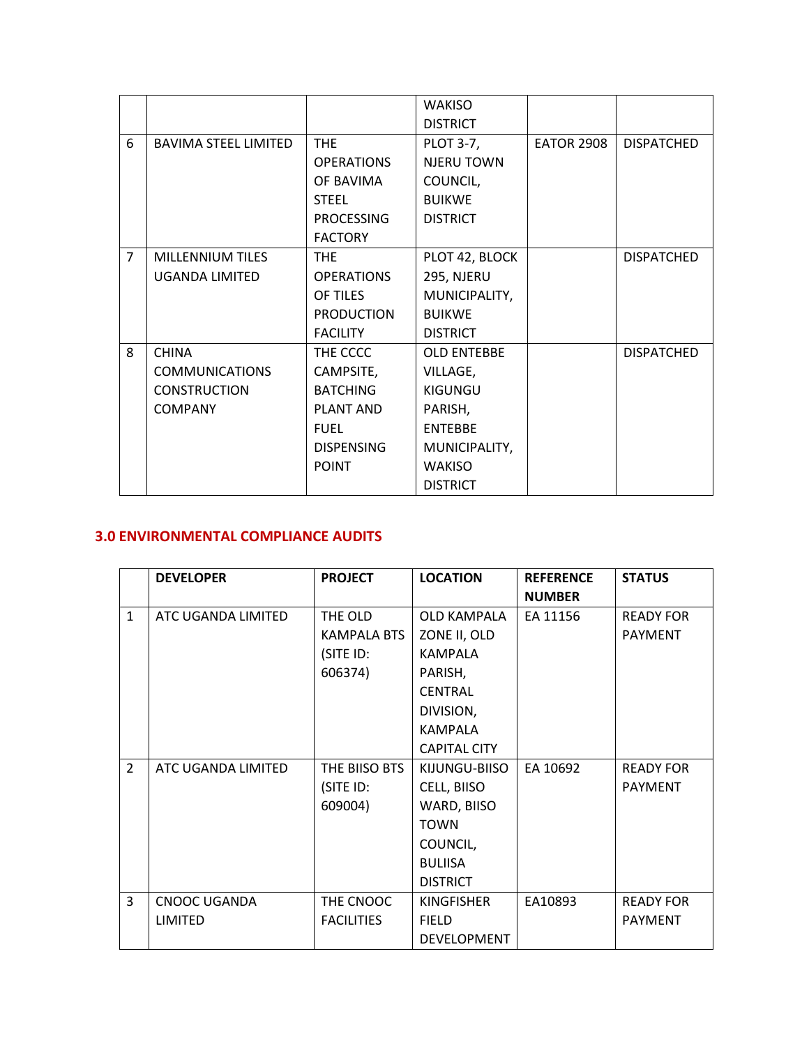|                |                             |                   | <b>WAKISO</b>      |                   |                   |
|----------------|-----------------------------|-------------------|--------------------|-------------------|-------------------|
|                |                             |                   | <b>DISTRICT</b>    |                   |                   |
| 6              | <b>BAVIMA STEEL LIMITED</b> | <b>THE</b>        | <b>PLOT 3-7,</b>   | <b>EATOR 2908</b> | <b>DISPATCHED</b> |
|                |                             | <b>OPERATIONS</b> | NJERU TOWN         |                   |                   |
|                |                             | OF BAVIMA         | COUNCIL,           |                   |                   |
|                |                             | <b>STEEL</b>      | <b>BUIKWE</b>      |                   |                   |
|                |                             | <b>PROCESSING</b> | <b>DISTRICT</b>    |                   |                   |
|                |                             | <b>FACTORY</b>    |                    |                   |                   |
| $\overline{7}$ | <b>MILLENNIUM TILES</b>     | <b>THE</b>        | PLOT 42, BLOCK     |                   | <b>DISPATCHED</b> |
|                | <b>UGANDA LIMITED</b>       | <b>OPERATIONS</b> | 295, NJERU         |                   |                   |
|                |                             | OF TILES          | MUNICIPALITY,      |                   |                   |
|                |                             | <b>PRODUCTION</b> | <b>BUIKWE</b>      |                   |                   |
|                |                             | <b>FACILITY</b>   | <b>DISTRICT</b>    |                   |                   |
| 8              | <b>CHINA</b>                | THE CCCC          | <b>OLD ENTEBBE</b> |                   | <b>DISPATCHED</b> |
|                | <b>COMMUNICATIONS</b>       | CAMPSITE,         | VILLAGE,           |                   |                   |
|                | <b>CONSTRUCTION</b>         | <b>BATCHING</b>   | KIGUNGU            |                   |                   |
|                | <b>COMPANY</b>              | PLANT AND         | PARISH,            |                   |                   |
|                |                             | <b>FUEL</b>       | <b>ENTEBBE</b>     |                   |                   |
|                |                             | <b>DISPENSING</b> | MUNICIPALITY,      |                   |                   |
|                |                             | <b>POINT</b>      | <b>WAKISO</b>      |                   |                   |
|                |                             |                   | <b>DISTRICT</b>    |                   |                   |

## **3.0 ENVIRONMENTAL COMPLIANCE AUDITS**

|                | <b>DEVELOPER</b>    | <b>PROJECT</b>    | <b>LOCATION</b>     | <b>REFERENCE</b> | <b>STATUS</b>    |
|----------------|---------------------|-------------------|---------------------|------------------|------------------|
|                |                     |                   |                     | <b>NUMBER</b>    |                  |
| $\mathbf{1}$   | ATC UGANDA LIMITED  | THE OLD           | <b>OLD KAMPALA</b>  | EA 11156         | <b>READY FOR</b> |
|                |                     | KAMPALA BTS       | ZONE II, OLD        |                  | <b>PAYMENT</b>   |
|                |                     | (SITE ID:         | <b>KAMPALA</b>      |                  |                  |
|                |                     | 606374)           | PARISH,             |                  |                  |
|                |                     |                   | <b>CENTRAL</b>      |                  |                  |
|                |                     |                   | DIVISION,           |                  |                  |
|                |                     |                   | <b>KAMPALA</b>      |                  |                  |
|                |                     |                   | <b>CAPITAL CITY</b> |                  |                  |
| $\overline{2}$ | ATC UGANDA LIMITED  | THE BIISO BTS     | KIJUNGU-BIISO       | EA 10692         | <b>READY FOR</b> |
|                |                     | (SITE ID:         | CELL, BIISO         |                  | <b>PAYMENT</b>   |
|                |                     | 609004)           | WARD, BIISO         |                  |                  |
|                |                     |                   | <b>TOWN</b>         |                  |                  |
|                |                     |                   | COUNCIL,            |                  |                  |
|                |                     |                   | <b>BULIISA</b>      |                  |                  |
|                |                     |                   | <b>DISTRICT</b>     |                  |                  |
| 3              | <b>CNOOC UGANDA</b> | THE CNOOC         | <b>KINGFISHER</b>   | EA10893          | <b>READY FOR</b> |
|                | LIMITED             | <b>FACILITIES</b> | <b>FIELD</b>        |                  | <b>PAYMENT</b>   |
|                |                     |                   | <b>DEVELOPMENT</b>  |                  |                  |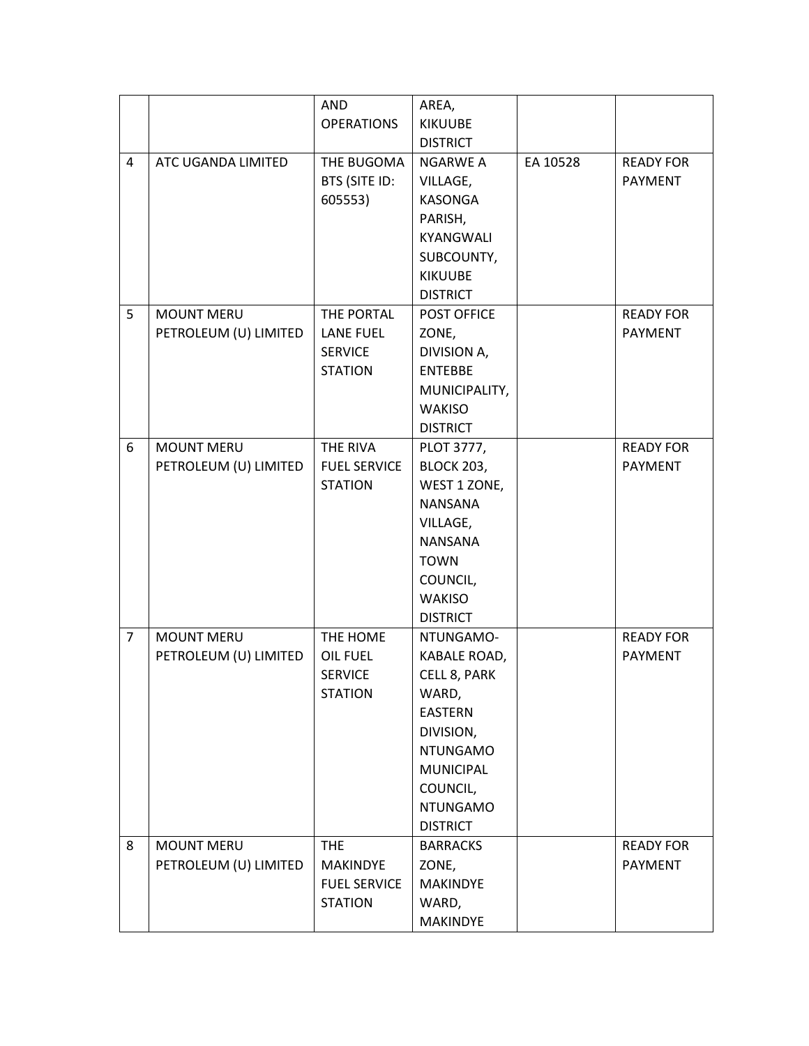|                |                       | AND                 | AREA,                      |          |                  |
|----------------|-----------------------|---------------------|----------------------------|----------|------------------|
|                |                       | <b>OPERATIONS</b>   | <b>KIKUUBE</b>             |          |                  |
|                |                       |                     | <b>DISTRICT</b>            |          |                  |
| 4              | ATC UGANDA LIMITED    | THE BUGOMA          | NGARWE A                   | EA 10528 | <b>READY FOR</b> |
|                |                       | BTS (SITE ID:       | VILLAGE,                   |          | PAYMENT          |
|                |                       | 605553)             | <b>KASONGA</b>             |          |                  |
|                |                       |                     | PARISH,                    |          |                  |
|                |                       |                     | <b>KYANGWALI</b>           |          |                  |
|                |                       |                     | SUBCOUNTY,                 |          |                  |
|                |                       |                     | <b>KIKUUBE</b>             |          |                  |
|                |                       |                     | <b>DISTRICT</b>            |          |                  |
| 5              | <b>MOUNT MERU</b>     | THE PORTAL          | POST OFFICE                |          | <b>READY FOR</b> |
|                | PETROLEUM (U) LIMITED | <b>LANE FUEL</b>    | ZONE,                      |          | PAYMENT          |
|                |                       | <b>SERVICE</b>      | DIVISION A,                |          |                  |
|                |                       | <b>STATION</b>      | <b>ENTEBBE</b>             |          |                  |
|                |                       |                     | MUNICIPALITY,              |          |                  |
|                |                       |                     | <b>WAKISO</b>              |          |                  |
|                |                       |                     | <b>DISTRICT</b>            |          |                  |
| 6              | <b>MOUNT MERU</b>     | THE RIVA            | PLOT 3777,                 |          | <b>READY FOR</b> |
|                | PETROLEUM (U) LIMITED | <b>FUEL SERVICE</b> | <b>BLOCK 203,</b>          |          | PAYMENT          |
|                |                       | <b>STATION</b>      | WEST 1 ZONE,               |          |                  |
|                |                       |                     | <b>NANSANA</b>             |          |                  |
|                |                       |                     | VILLAGE,<br><b>NANSANA</b> |          |                  |
|                |                       |                     | <b>TOWN</b>                |          |                  |
|                |                       |                     | COUNCIL,                   |          |                  |
|                |                       |                     | <b>WAKISO</b>              |          |                  |
|                |                       |                     | <b>DISTRICT</b>            |          |                  |
| $\overline{7}$ | <b>MOUNT MERU</b>     | THE HOME            | NTUNGAMO-                  |          | <b>READY FOR</b> |
|                | PETROLEUM (U) LIMITED | <b>OIL FUEL</b>     | KABALE ROAD,               |          | PAYMENT          |
|                |                       | <b>SERVICE</b>      | CELL 8, PARK               |          |                  |
|                |                       | <b>STATION</b>      | WARD,                      |          |                  |
|                |                       |                     | <b>EASTERN</b>             |          |                  |
|                |                       |                     | DIVISION,                  |          |                  |
|                |                       |                     | <b>NTUNGAMO</b>            |          |                  |
|                |                       |                     | <b>MUNICIPAL</b>           |          |                  |
|                |                       |                     | COUNCIL,                   |          |                  |
|                |                       |                     | <b>NTUNGAMO</b>            |          |                  |
|                |                       |                     | <b>DISTRICT</b>            |          |                  |
| 8              | <b>MOUNT MERU</b>     | <b>THE</b>          | <b>BARRACKS</b>            |          | <b>READY FOR</b> |
|                | PETROLEUM (U) LIMITED | <b>MAKINDYE</b>     | ZONE,                      |          | <b>PAYMENT</b>   |
|                |                       | <b>FUEL SERVICE</b> | <b>MAKINDYE</b>            |          |                  |
|                |                       | <b>STATION</b>      | WARD,                      |          |                  |
|                |                       |                     | MAKINDYE                   |          |                  |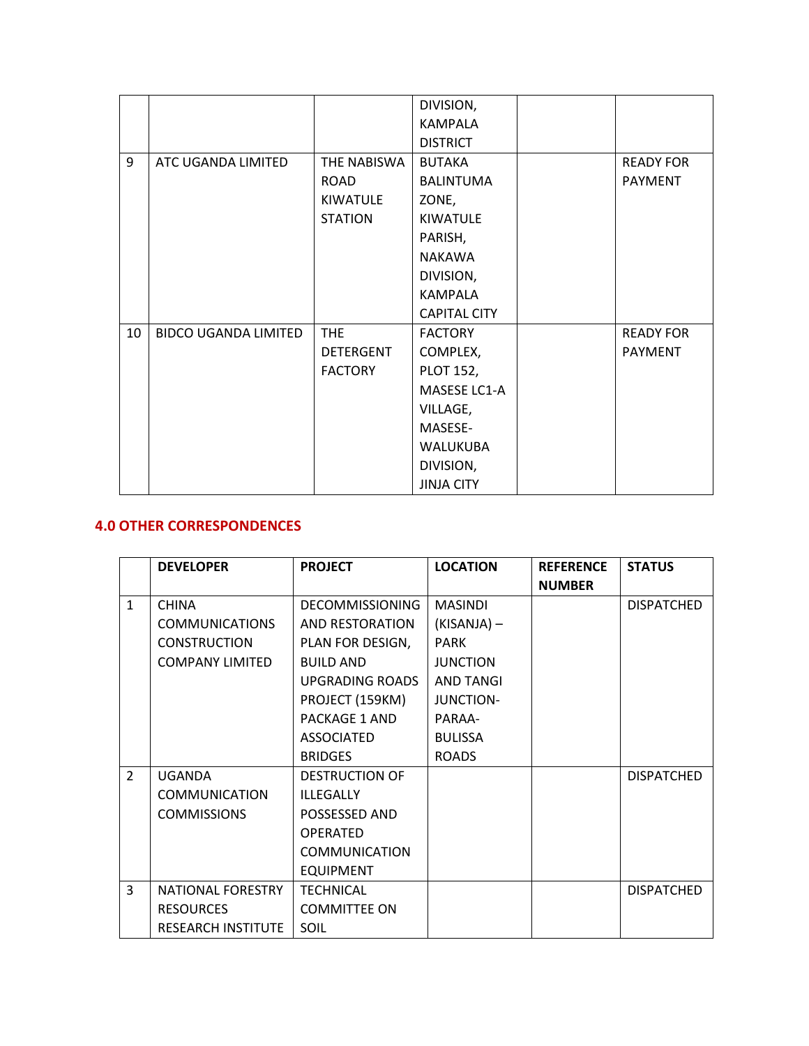|    |                             |                  | DIVISION,           |                  |
|----|-----------------------------|------------------|---------------------|------------------|
|    |                             |                  | <b>KAMPALA</b>      |                  |
|    |                             |                  | <b>DISTRICT</b>     |                  |
| 9  | ATC UGANDA LIMITED          | THE NABISWA      | <b>BUTAKA</b>       | <b>READY FOR</b> |
|    |                             | <b>ROAD</b>      | <b>BALINTUMA</b>    | <b>PAYMENT</b>   |
|    |                             | <b>KIWATULE</b>  | ZONE,               |                  |
|    |                             | <b>STATION</b>   | <b>KIWATULE</b>     |                  |
|    |                             |                  | PARISH,             |                  |
|    |                             |                  | <b>NAKAWA</b>       |                  |
|    |                             |                  | DIVISION,           |                  |
|    |                             |                  | <b>KAMPALA</b>      |                  |
|    |                             |                  | <b>CAPITAL CITY</b> |                  |
| 10 | <b>BIDCO UGANDA LIMITED</b> | <b>THE</b>       | <b>FACTORY</b>      | <b>READY FOR</b> |
|    |                             | <b>DETERGENT</b> | COMPLEX,            | <b>PAYMENT</b>   |
|    |                             | <b>FACTORY</b>   | <b>PLOT 152,</b>    |                  |
|    |                             |                  | MASESE LC1-A        |                  |
|    |                             |                  | VILLAGE,            |                  |
|    |                             |                  | MASESE-             |                  |
|    |                             |                  | <b>WALUKUBA</b>     |                  |
|    |                             |                  | DIVISION,           |                  |
|    |                             |                  | <b>JINJA CITY</b>   |                  |

### **4.0 OTHER CORRESPONDENCES**

|               | <b>DEVELOPER</b>          | <b>PROJECT</b>         | <b>LOCATION</b>  | <b>REFERENCE</b> | <b>STATUS</b>     |
|---------------|---------------------------|------------------------|------------------|------------------|-------------------|
|               |                           |                        |                  | <b>NUMBER</b>    |                   |
| $\mathbf{1}$  | <b>CHINA</b>              | <b>DECOMMISSIONING</b> | <b>MASINDI</b>   |                  | <b>DISPATCHED</b> |
|               | <b>COMMUNICATIONS</b>     | AND RESTORATION        | $(KISANJA)$ –    |                  |                   |
|               | <b>CONSTRUCTION</b>       | PLAN FOR DESIGN,       | <b>PARK</b>      |                  |                   |
|               | <b>COMPANY LIMITED</b>    | <b>BUILD AND</b>       | <b>JUNCTION</b>  |                  |                   |
|               |                           | UPGRADING ROADS        | <b>AND TANGI</b> |                  |                   |
|               |                           | PROJECT (159KM)        | <b>JUNCTION-</b> |                  |                   |
|               |                           | <b>PACKAGE 1 AND</b>   | PARAA-           |                  |                   |
|               |                           | <b>ASSOCIATED</b>      | <b>BULISSA</b>   |                  |                   |
|               |                           | <b>BRIDGES</b>         | <b>ROADS</b>     |                  |                   |
| $\mathcal{P}$ | <b>UGANDA</b>             | <b>DESTRUCTION OF</b>  |                  |                  | <b>DISPATCHED</b> |
|               | <b>COMMUNICATION</b>      | <b>ILLEGALLY</b>       |                  |                  |                   |
|               | <b>COMMISSIONS</b>        | POSSESSED AND          |                  |                  |                   |
|               |                           | <b>OPERATED</b>        |                  |                  |                   |
|               |                           | <b>COMMUNICATION</b>   |                  |                  |                   |
|               |                           | <b>EQUIPMENT</b>       |                  |                  |                   |
| 3             | NATIONAL FORESTRY         | <b>TECHNICAL</b>       |                  |                  | <b>DISPATCHED</b> |
|               | <b>RESOURCES</b>          | <b>COMMITTEE ON</b>    |                  |                  |                   |
|               | <b>RESEARCH INSTITUTE</b> | SOIL                   |                  |                  |                   |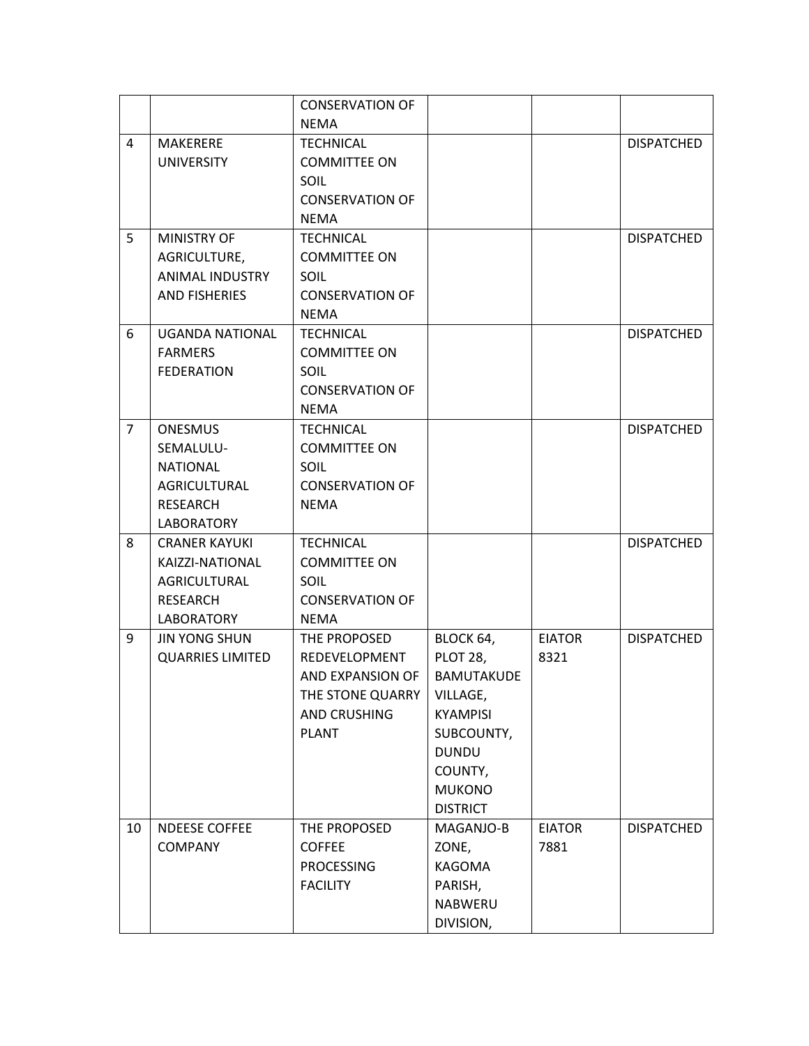|                |                         | <b>CONSERVATION OF</b> |                   |               |                   |
|----------------|-------------------------|------------------------|-------------------|---------------|-------------------|
|                |                         | <b>NEMA</b>            |                   |               |                   |
| 4              | <b>MAKERERE</b>         | <b>TECHNICAL</b>       |                   |               | <b>DISPATCHED</b> |
|                | <b>UNIVERSITY</b>       | <b>COMMITTEE ON</b>    |                   |               |                   |
|                |                         | SOIL                   |                   |               |                   |
|                |                         | <b>CONSERVATION OF</b> |                   |               |                   |
|                |                         | <b>NEMA</b>            |                   |               |                   |
| 5              | <b>MINISTRY OF</b>      | <b>TECHNICAL</b>       |                   |               | <b>DISPATCHED</b> |
|                | AGRICULTURE,            | <b>COMMITTEE ON</b>    |                   |               |                   |
|                | ANIMAL INDUSTRY         | SOIL                   |                   |               |                   |
|                | <b>AND FISHERIES</b>    | <b>CONSERVATION OF</b> |                   |               |                   |
|                |                         | <b>NEMA</b>            |                   |               |                   |
| 6              | <b>UGANDA NATIONAL</b>  | <b>TECHNICAL</b>       |                   |               | <b>DISPATCHED</b> |
|                | <b>FARMERS</b>          | <b>COMMITTEE ON</b>    |                   |               |                   |
|                | <b>FEDERATION</b>       | SOIL                   |                   |               |                   |
|                |                         | <b>CONSERVATION OF</b> |                   |               |                   |
|                |                         | <b>NEMA</b>            |                   |               |                   |
| $\overline{7}$ | <b>ONESMUS</b>          | <b>TECHNICAL</b>       |                   |               | <b>DISPATCHED</b> |
|                | SEMALULU-               | <b>COMMITTEE ON</b>    |                   |               |                   |
|                | <b>NATIONAL</b>         | SOIL                   |                   |               |                   |
|                | AGRICULTURAL            | <b>CONSERVATION OF</b> |                   |               |                   |
|                | <b>RESEARCH</b>         | <b>NEMA</b>            |                   |               |                   |
|                | <b>LABORATORY</b>       |                        |                   |               |                   |
| 8              | <b>CRANER KAYUKI</b>    | <b>TECHNICAL</b>       |                   |               | <b>DISPATCHED</b> |
|                | KAIZZI-NATIONAL         | <b>COMMITTEE ON</b>    |                   |               |                   |
|                | AGRICULTURAL            | <b>SOIL</b>            |                   |               |                   |
|                | <b>RESEARCH</b>         | <b>CONSERVATION OF</b> |                   |               |                   |
|                | <b>LABORATORY</b>       | <b>NEMA</b>            |                   |               |                   |
| 9              | <b>JIN YONG SHUN</b>    | THE PROPOSED           | BLOCK 64,         | <b>EIATOR</b> | <b>DISPATCHED</b> |
|                | <b>QUARRIES LIMITED</b> | REDEVELOPMENT          | PLOT 28,          | 8321          |                   |
|                |                         | AND EXPANSION OF       | <b>BAMUTAKUDE</b> |               |                   |
|                |                         | THE STONE QUARRY       | VILLAGE,          |               |                   |
|                |                         | <b>AND CRUSHING</b>    | <b>KYAMPISI</b>   |               |                   |
|                |                         | <b>PLANT</b>           | SUBCOUNTY,        |               |                   |
|                |                         |                        | <b>DUNDU</b>      |               |                   |
|                |                         |                        | COUNTY,           |               |                   |
|                |                         |                        | <b>MUKONO</b>     |               |                   |
|                |                         |                        | <b>DISTRICT</b>   |               |                   |
| 10             | <b>NDEESE COFFEE</b>    | THE PROPOSED           | MAGANJO-B         | <b>EIATOR</b> | <b>DISPATCHED</b> |
|                | <b>COMPANY</b>          | <b>COFFEE</b>          | ZONE,             | 7881          |                   |
|                |                         | <b>PROCESSING</b>      | <b>KAGOMA</b>     |               |                   |
|                |                         | <b>FACILITY</b>        | PARISH,           |               |                   |
|                |                         |                        | NABWERU           |               |                   |
|                |                         |                        | DIVISION,         |               |                   |